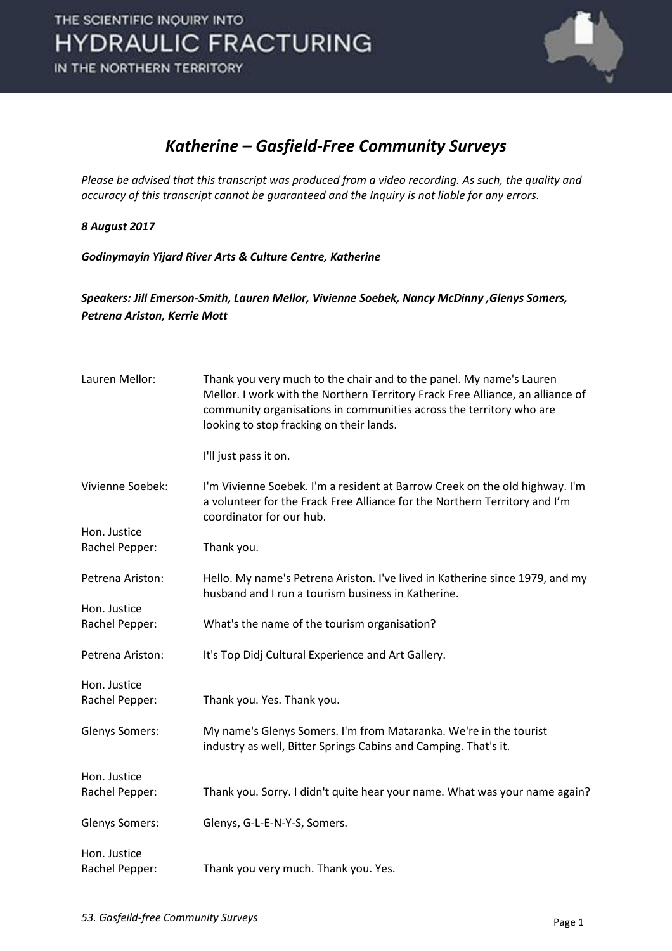

#### *Katherine – Gasfield-Free Community Surveys*

*Please be advised that this transcript was produced from a video recording. As such, the quality and accuracy of this transcript cannot be guaranteed and the Inquiry is not liable for any errors.*

#### *8 August 2017*

*Godinymayin Yijard River Arts & Culture Centre, Katherine* 

#### *Speakers: Jill Emerson-Smith, Lauren Mellor, Vivienne Soebek, Nancy McDinny ,Glenys Somers, Petrena Ariston, Kerrie Mott*

| Lauren Mellor:                 | Thank you very much to the chair and to the panel. My name's Lauren<br>Mellor. I work with the Northern Territory Frack Free Alliance, an alliance of<br>community organisations in communities across the territory who are<br>looking to stop fracking on their lands. |
|--------------------------------|--------------------------------------------------------------------------------------------------------------------------------------------------------------------------------------------------------------------------------------------------------------------------|
|                                | I'll just pass it on.                                                                                                                                                                                                                                                    |
| Vivienne Soebek:               | I'm Vivienne Soebek. I'm a resident at Barrow Creek on the old highway. I'm<br>a volunteer for the Frack Free Alliance for the Northern Territory and I'm<br>coordinator for our hub.                                                                                    |
| Hon. Justice                   |                                                                                                                                                                                                                                                                          |
| Rachel Pepper:                 | Thank you.                                                                                                                                                                                                                                                               |
| Petrena Ariston:               | Hello. My name's Petrena Ariston. I've lived in Katherine since 1979, and my<br>husband and I run a tourism business in Katherine.                                                                                                                                       |
| Hon. Justice                   |                                                                                                                                                                                                                                                                          |
| Rachel Pepper:                 | What's the name of the tourism organisation?                                                                                                                                                                                                                             |
| Petrena Ariston:               | It's Top Didj Cultural Experience and Art Gallery.                                                                                                                                                                                                                       |
| Hon. Justice                   |                                                                                                                                                                                                                                                                          |
| Rachel Pepper:                 | Thank you. Yes. Thank you.                                                                                                                                                                                                                                               |
| <b>Glenys Somers:</b>          | My name's Glenys Somers. I'm from Mataranka. We're in the tourist<br>industry as well, Bitter Springs Cabins and Camping. That's it.                                                                                                                                     |
| Hon. Justice                   |                                                                                                                                                                                                                                                                          |
| Rachel Pepper:                 | Thank you. Sorry. I didn't quite hear your name. What was your name again?                                                                                                                                                                                               |
| <b>Glenys Somers:</b>          | Glenys, G-L-E-N-Y-S, Somers.                                                                                                                                                                                                                                             |
| Hon. Justice<br>Rachel Pepper: | Thank you very much. Thank you. Yes.                                                                                                                                                                                                                                     |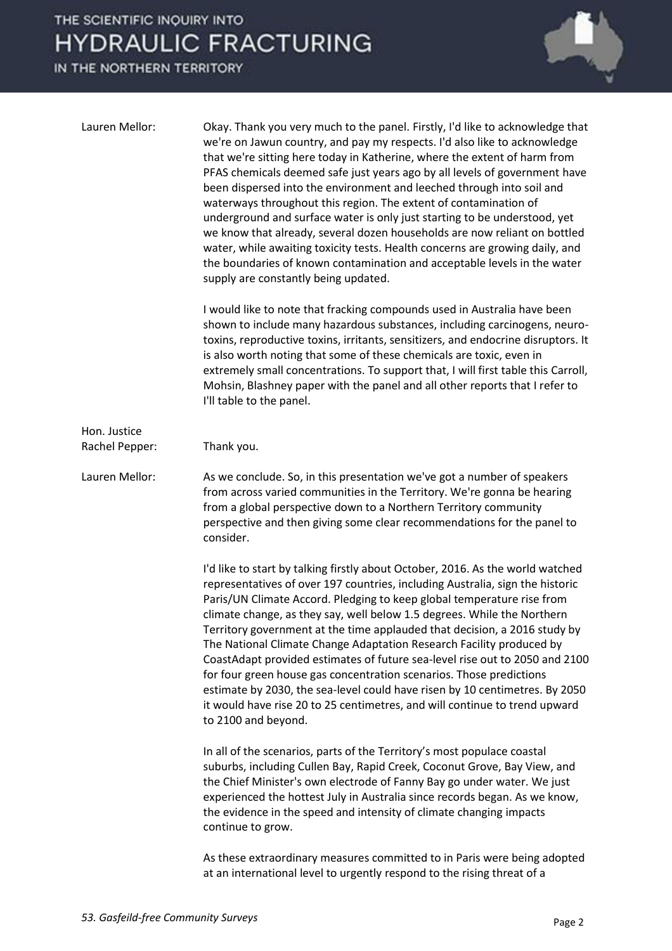

| Lauren Mellor:                 | Okay. Thank you very much to the panel. Firstly, I'd like to acknowledge that<br>we're on Jawun country, and pay my respects. I'd also like to acknowledge<br>that we're sitting here today in Katherine, where the extent of harm from<br>PFAS chemicals deemed safe just years ago by all levels of government have<br>been dispersed into the environment and leeched through into soil and<br>waterways throughout this region. The extent of contamination of<br>underground and surface water is only just starting to be understood, yet<br>we know that already, several dozen households are now reliant on bottled<br>water, while awaiting toxicity tests. Health concerns are growing daily, and<br>the boundaries of known contamination and acceptable levels in the water<br>supply are constantly being updated. |
|--------------------------------|----------------------------------------------------------------------------------------------------------------------------------------------------------------------------------------------------------------------------------------------------------------------------------------------------------------------------------------------------------------------------------------------------------------------------------------------------------------------------------------------------------------------------------------------------------------------------------------------------------------------------------------------------------------------------------------------------------------------------------------------------------------------------------------------------------------------------------|
|                                | I would like to note that fracking compounds used in Australia have been<br>shown to include many hazardous substances, including carcinogens, neuro-<br>toxins, reproductive toxins, irritants, sensitizers, and endocrine disruptors. It<br>is also worth noting that some of these chemicals are toxic, even in<br>extremely small concentrations. To support that, I will first table this Carroll,<br>Mohsin, Blashney paper with the panel and all other reports that I refer to<br>I'll table to the panel.                                                                                                                                                                                                                                                                                                               |
| Hon. Justice<br>Rachel Pepper: | Thank you.                                                                                                                                                                                                                                                                                                                                                                                                                                                                                                                                                                                                                                                                                                                                                                                                                       |
| Lauren Mellor:                 | As we conclude. So, in this presentation we've got a number of speakers<br>from across varied communities in the Territory. We're gonna be hearing<br>from a global perspective down to a Northern Territory community<br>perspective and then giving some clear recommendations for the panel to<br>consider.                                                                                                                                                                                                                                                                                                                                                                                                                                                                                                                   |
|                                | I'd like to start by talking firstly about October, 2016. As the world watched<br>representatives of over 197 countries, including Australia, sign the historic<br>Paris/UN Climate Accord. Pledging to keep global temperature rise from<br>climate change, as they say, well below 1.5 degrees. While the Northern<br>Territory government at the time applauded that decision, a 2016 study by<br>The National Climate Change Adaptation Research Facility produced by<br>CoastAdapt provided estimates of future sea-level rise out to 2050 and 2100<br>for four green house gas concentration scenarios. Those predictions<br>estimate by 2030, the sea-level could have risen by 10 centimetres. By 2050<br>it would have rise 20 to 25 centimetres, and will continue to trend upward<br>to 2100 and beyond.              |
|                                | In all of the scenarios, parts of the Territory's most populace coastal<br>suburbs, including Cullen Bay, Rapid Creek, Coconut Grove, Bay View, and<br>the Chief Minister's own electrode of Fanny Bay go under water. We just<br>experienced the hottest July in Australia since records began. As we know,<br>the evidence in the speed and intensity of climate changing impacts<br>continue to grow.                                                                                                                                                                                                                                                                                                                                                                                                                         |
|                                | As these extraordinary measures committed to in Paris were being adopted<br>at an international level to urgently respond to the rising threat of a                                                                                                                                                                                                                                                                                                                                                                                                                                                                                                                                                                                                                                                                              |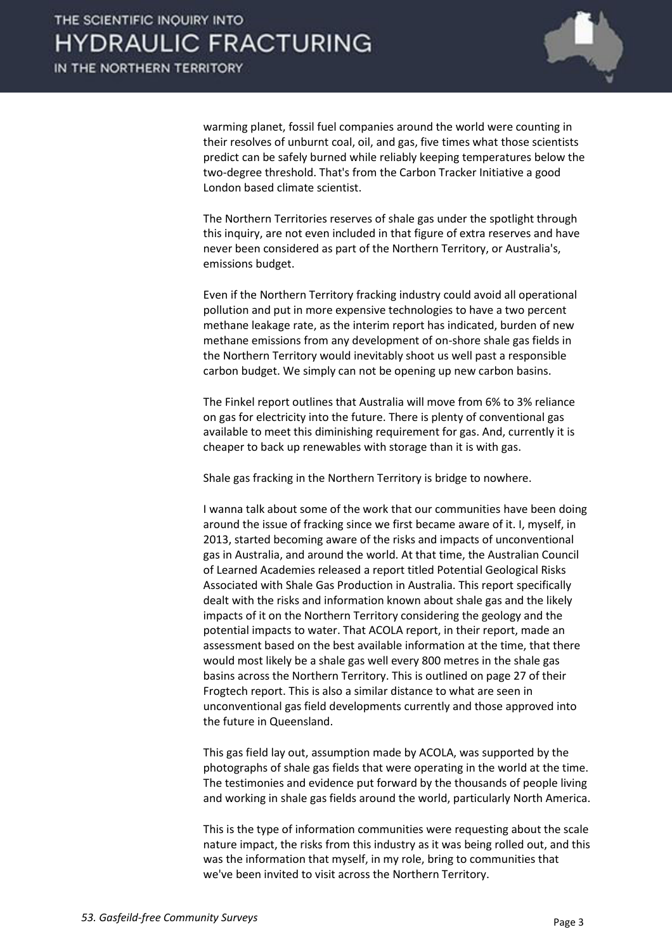

warming planet, fossil fuel companies around the world were counting in their resolves of unburnt coal, oil, and gas, five times what those scientists predict can be safely burned while reliably keeping temperatures below the two-degree threshold. That's from the Carbon Tracker Initiative a good London based climate scientist.

 The Northern Territories reserves of shale gas under the spotlight through this inquiry, are not even included in that figure of extra reserves and have never been considered as part of the Northern Territory, or Australia's, emissions budget.

 Even if the Northern Territory fracking industry could avoid all operational pollution and put in more expensive technologies to have a two percent methane leakage rate, as the interim report has indicated, burden of new methane emissions from any development of on-shore shale gas fields in the Northern Territory would inevitably shoot us well past a responsible carbon budget. We simply can not be opening up new carbon basins.

 The Finkel report outlines that Australia will move from 6% to 3% reliance on gas for electricity into the future. There is plenty of conventional gas available to meet this diminishing requirement for gas. And, currently it is cheaper to back up renewables with storage than it is with gas.

Shale gas fracking in the Northern Territory is bridge to nowhere.

 I wanna talk about some of the work that our communities have been doing around the issue of fracking since we first became aware of it. I, myself, in 2013, started becoming aware of the risks and impacts of unconventional gas in Australia, and around the world. At that time, the Australian Council of Learned Academies released a report titled Potential Geological Risks Associated with Shale Gas Production in Australia. This report specifically dealt with the risks and information known about shale gas and the likely impacts of it on the Northern Territory considering the geology and the potential impacts to water. That ACOLA report, in their report, made an assessment based on the best available information at the time, that there would most likely be a shale gas well every 800 metres in the shale gas basins across the Northern Territory. This is outlined on page 27 of their Frogtech report. This is also a similar distance to what are seen in unconventional gas field developments currently and those approved into the future in Queensland.

 This gas field lay out, assumption made by ACOLA, was supported by the photographs of shale gas fields that were operating in the world at the time. The testimonies and evidence put forward by the thousands of people living and working in shale gas fields around the world, particularly North America.

 This is the type of information communities were requesting about the scale nature impact, the risks from this industry as it was being rolled out, and this was the information that myself, in my role, bring to communities that we've been invited to visit across the Northern Territory.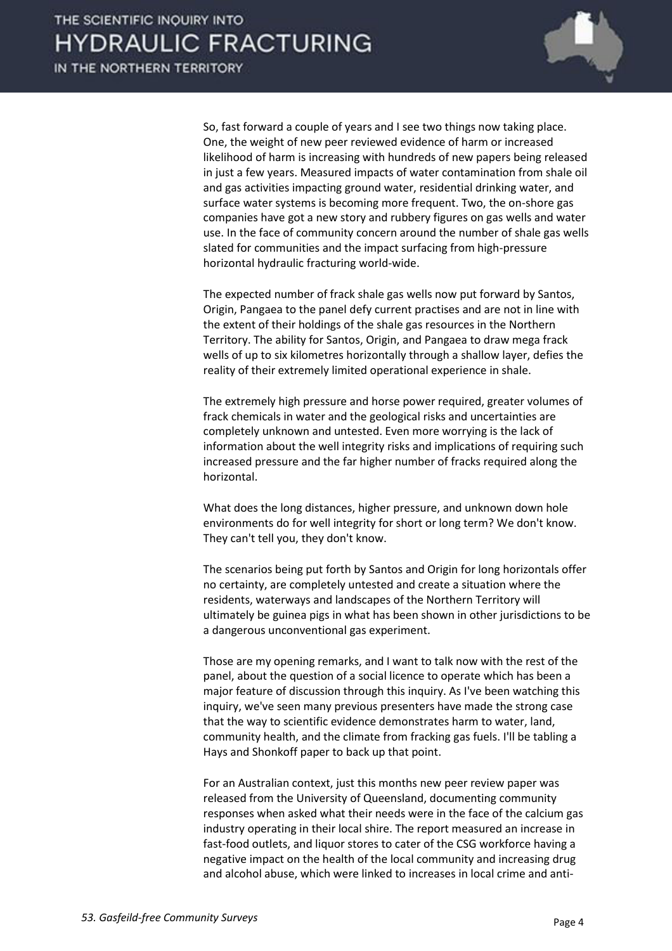

 So, fast forward a couple of years and I see two things now taking place. One, the weight of new peer reviewed evidence of harm or increased likelihood of harm is increasing with hundreds of new papers being released in just a few years. Measured impacts of water contamination from shale oil and gas activities impacting ground water, residential drinking water, and surface water systems is becoming more frequent. Two, the on-shore gas companies have got a new story and rubbery figures on gas wells and water use. In the face of community concern around the number of shale gas wells slated for communities and the impact surfacing from high-pressure horizontal hydraulic fracturing world-wide.

 The expected number of frack shale gas wells now put forward by Santos, Origin, Pangaea to the panel defy current practises and are not in line with the extent of their holdings of the shale gas resources in the Northern Territory. The ability for Santos, Origin, and Pangaea to draw mega frack wells of up to six kilometres horizontally through a shallow layer, defies the reality of their extremely limited operational experience in shale.

 The extremely high pressure and horse power required, greater volumes of frack chemicals in water and the geological risks and uncertainties are completely unknown and untested. Even more worrying is the lack of information about the well integrity risks and implications of requiring such increased pressure and the far higher number of fracks required along the horizontal.

 What does the long distances, higher pressure, and unknown down hole environments do for well integrity for short or long term? We don't know. They can't tell you, they don't know.

 The scenarios being put forth by Santos and Origin for long horizontals offer no certainty, are completely untested and create a situation where the residents, waterways and landscapes of the Northern Territory will ultimately be guinea pigs in what has been shown in other jurisdictions to be a dangerous unconventional gas experiment.

 Those are my opening remarks, and I want to talk now with the rest of the panel, about the question of a social licence to operate which has been a major feature of discussion through this inquiry. As I've been watching this inquiry, we've seen many previous presenters have made the strong case that the way to scientific evidence demonstrates harm to water, land, community health, and the climate from fracking gas fuels. I'll be tabling a Hays and Shonkoff paper to back up that point.

 For an Australian context, just this months new peer review paper was released from the University of Queensland, documenting community responses when asked what their needs were in the face of the calcium gas industry operating in their local shire. The report measured an increase in fast-food outlets, and liquor stores to cater of the CSG workforce having a negative impact on the health of the local community and increasing drug and alcohol abuse, which were linked to increases in local crime and anti-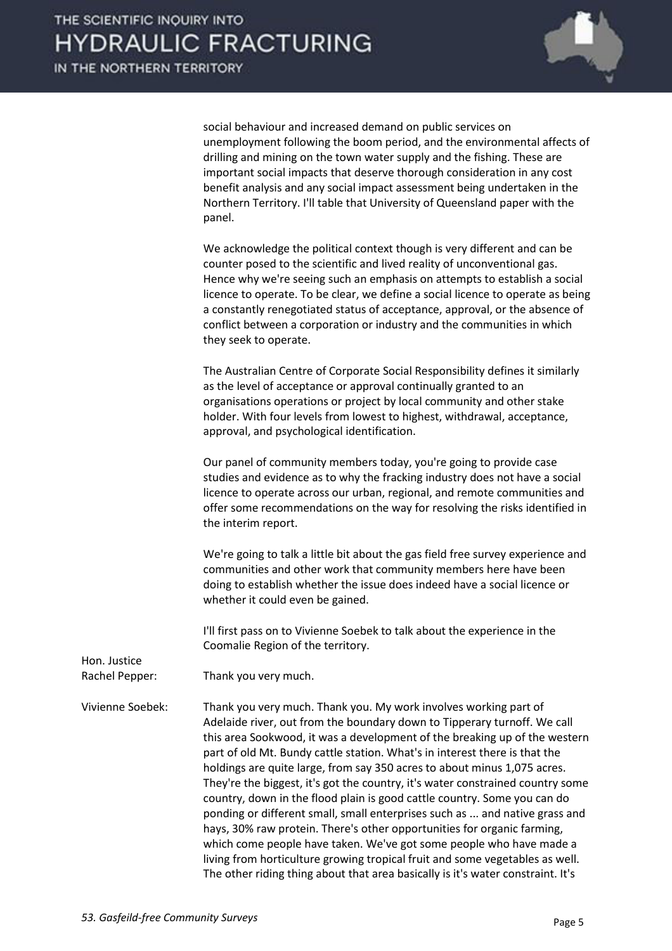

social behaviour and increased demand on public services on unemployment following the boom period, and the environmental affects of drilling and mining on the town water supply and the fishing. These are important social impacts that deserve thorough consideration in any cost benefit analysis and any social impact assessment being undertaken in the Northern Territory. I'll table that University of Queensland paper with the panel.

 We acknowledge the political context though is very different and can be counter posed to the scientific and lived reality of unconventional gas. Hence why we're seeing such an emphasis on attempts to establish a social licence to operate. To be clear, we define a social licence to operate as being a constantly renegotiated status of acceptance, approval, or the absence of conflict between a corporation or industry and the communities in which they seek to operate.

 The Australian Centre of Corporate Social Responsibility defines it similarly as the level of acceptance or approval continually granted to an organisations operations or project by local community and other stake holder. With four levels from lowest to highest, withdrawal, acceptance, approval, and psychological identification.

 Our panel of community members today, you're going to provide case studies and evidence as to why the fracking industry does not have a social licence to operate across our urban, regional, and remote communities and offer some recommendations on the way for resolving the risks identified in the interim report.

 We're going to talk a little bit about the gas field free survey experience and communities and other work that community members here have been doing to establish whether the issue does indeed have a social licence or whether it could even be gained.

 I'll first pass on to Vivienne Soebek to talk about the experience in the Coomalie Region of the territory.

Rachel Pepper: Thank you very much.

Hon. Justice

Vivienne Soebek: Thank you very much. Thank you. My work involves working part of Adelaide river, out from the boundary down to Tipperary turnoff. We call this area Sookwood, it was a development of the breaking up of the western part of old Mt. Bundy cattle station. What's in interest there is that the holdings are quite large, from say 350 acres to about minus 1,075 acres. They're the biggest, it's got the country, it's water constrained country some country, down in the flood plain is good cattle country. Some you can do ponding or different small, small enterprises such as ... and native grass and hays, 30% raw protein. There's other opportunities for organic farming, which come people have taken. We've got some people who have made a living from horticulture growing tropical fruit and some vegetables as well. The other riding thing about that area basically is it's water constraint. It's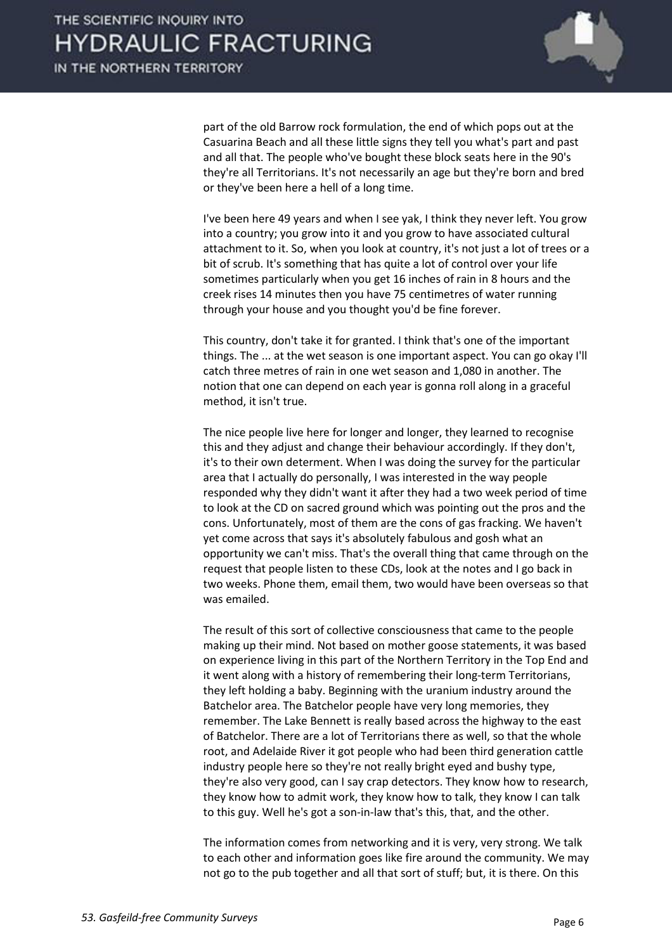

part of the old Barrow rock formulation, the end of which pops out at the Casuarina Beach and all these little signs they tell you what's part and past and all that. The people who've bought these block seats here in the 90's they're all Territorians. It's not necessarily an age but they're born and bred or they've been here a hell of a long time.

 I've been here 49 years and when I see yak, I think they never left. You grow into a country; you grow into it and you grow to have associated cultural attachment to it. So, when you look at country, it's not just a lot of trees or a bit of scrub. It's something that has quite a lot of control over your life sometimes particularly when you get 16 inches of rain in 8 hours and the creek rises 14 minutes then you have 75 centimetres of water running through your house and you thought you'd be fine forever.

 This country, don't take it for granted. I think that's one of the important things. The ... at the wet season is one important aspect. You can go okay I'll catch three metres of rain in one wet season and 1,080 in another. The notion that one can depend on each year is gonna roll along in a graceful method, it isn't true.

 The nice people live here for longer and longer, they learned to recognise this and they adjust and change their behaviour accordingly. If they don't, it's to their own determent. When I was doing the survey for the particular area that I actually do personally, I was interested in the way people responded why they didn't want it after they had a two week period of time to look at the CD on sacred ground which was pointing out the pros and the cons. Unfortunately, most of them are the cons of gas fracking. We haven't yet come across that says it's absolutely fabulous and gosh what an opportunity we can't miss. That's the overall thing that came through on the request that people listen to these CDs, look at the notes and I go back in two weeks. Phone them, email them, two would have been overseas so that was emailed.

 The result of this sort of collective consciousness that came to the people making up their mind. Not based on mother goose statements, it was based on experience living in this part of the Northern Territory in the Top End and it went along with a history of remembering their long-term Territorians, they left holding a baby. Beginning with the uranium industry around the Batchelor area. The Batchelor people have very long memories, they remember. The Lake Bennett is really based across the highway to the east of Batchelor. There are a lot of Territorians there as well, so that the whole root, and Adelaide River it got people who had been third generation cattle industry people here so they're not really bright eyed and bushy type, they're also very good, can I say crap detectors. They know how to research, they know how to admit work, they know how to talk, they know I can talk to this guy. Well he's got a son-in-law that's this, that, and the other.

 The information comes from networking and it is very, very strong. We talk to each other and information goes like fire around the community. We may not go to the pub together and all that sort of stuff; but, it is there. On this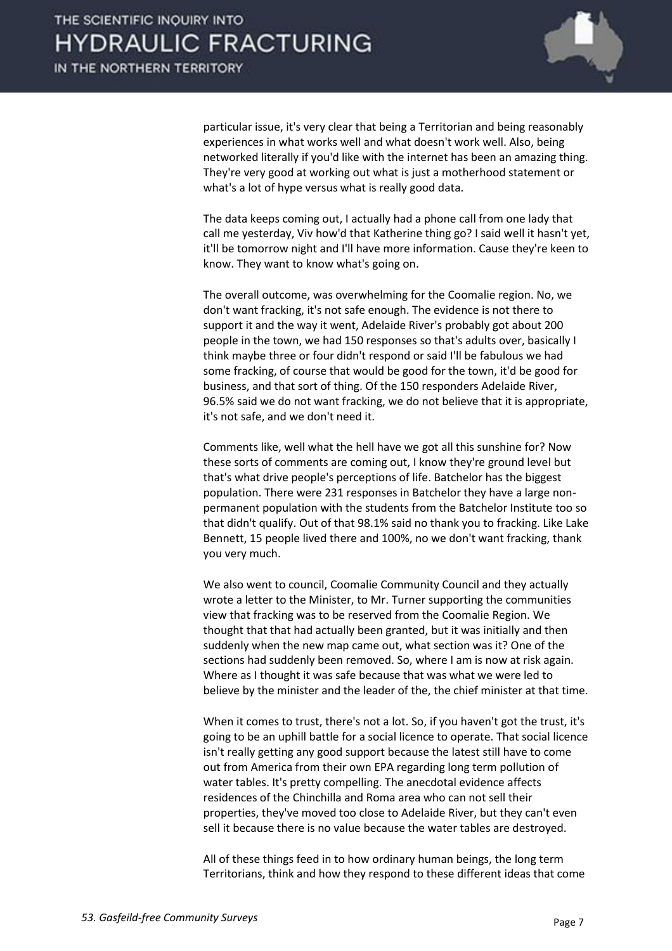

particular issue, it's very clear that being a Territorian and being reasonably experiences in what works well and what doesn't work well. Also, being networked literally if you'd like with the internet has been an amazing thing. They're very good at working out what is just a motherhood statement or what's a lot of hype versus what is really good data.

 The data keeps coming out, I actually had a phone call from one lady that call me yesterday, Viv how'd that Katherine thing go? I said well it hasn't yet, it'll be tomorrow night and I'll have more information. Cause they're keen to know. They want to know what's going on.

 The overall outcome, was overwhelming for the Coomalie region. No, we don't want fracking, it's not safe enough. The evidence is not there to support it and the way it went, Adelaide River's probably got about 200 people in the town, we had 150 responses so that's adults over, basically I think maybe three or four didn't respond or said I'll be fabulous we had some fracking, of course that would be good for the town, it'd be good for business, and that sort of thing. Of the 150 responders Adelaide River, 96.5% said we do not want fracking, we do not believe that it is appropriate, it's not safe, and we don't need it.

 Comments like, well what the hell have we got all this sunshine for? Now these sorts of comments are coming out, I know they're ground level but that's what drive people's perceptions of life. Batchelor has the biggest population. There were 231 responses in Batchelor they have a large nonpermanent population with the students from the Batchelor Institute too so that didn't qualify. Out of that 98.1% said no thank you to fracking. Like Lake Bennett, 15 people lived there and 100%, no we don't want fracking, thank you very much.

 We also went to council, Coomalie Community Council and they actually wrote a letter to the Minister, to Mr. Turner supporting the communities view that fracking was to be reserved from the Coomalie Region. We thought that that had actually been granted, but it was initially and then suddenly when the new map came out, what section was it? One of the sections had suddenly been removed. So, where I am is now at risk again. Where as I thought it was safe because that was what we were led to believe by the minister and the leader of the, the chief minister at that time.

 When it comes to trust, there's not a lot. So, if you haven't got the trust, it's going to be an uphill battle for a social licence to operate. That social licence isn't really getting any good support because the latest still have to come out from America from their own EPA regarding long term pollution of water tables. It's pretty compelling. The anecdotal evidence affects residences of the Chinchilla and Roma area who can not sell their properties, they've moved too close to Adelaide River, but they can't even sell it because there is no value because the water tables are destroyed.

 All of these things feed in to how ordinary human beings, the long term Territorians, think and how they respond to these different ideas that come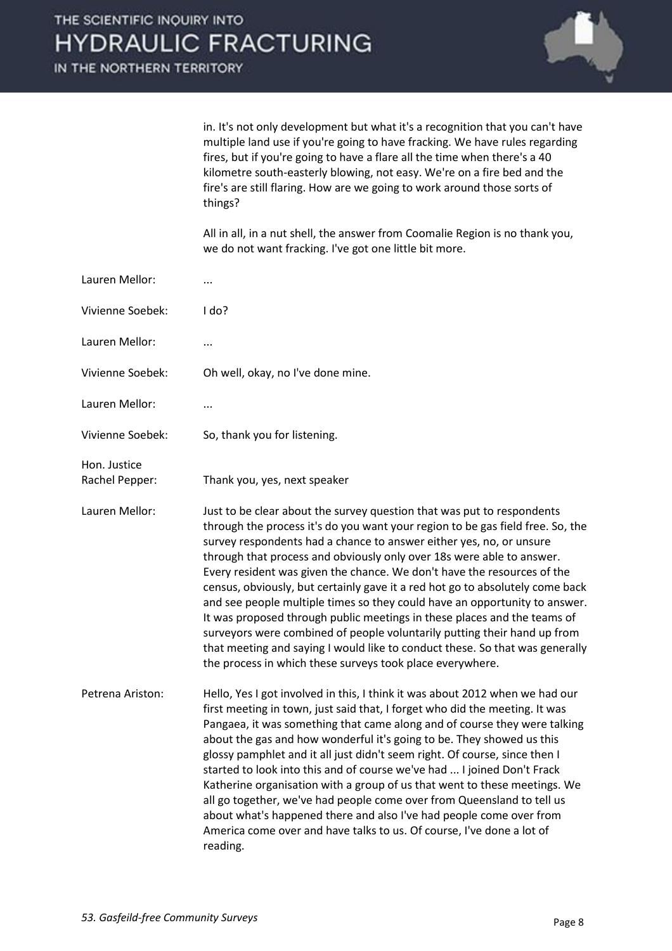IN THE NORTHERN TERRITORY



in. It's not only development but what it's a recognition that you can't have multiple land use if you're going to have fracking. We have rules regarding fires, but if you're going to have a flare all the time when there's a 40 kilometre south-easterly blowing, not easy. We're on a fire bed and the fire's are still flaring. How are we going to work around those sorts of things?

 All in all, in a nut shell, the answer from Coomalie Region is no thank you, we do not want fracking. I've got one little bit more.

| Lauren Mellor:                 |                                                                                                                                                                                                                                                                                                                                                                                                                                                                                                                                                                                                                                                                                                                                                                                                                                                         |
|--------------------------------|---------------------------------------------------------------------------------------------------------------------------------------------------------------------------------------------------------------------------------------------------------------------------------------------------------------------------------------------------------------------------------------------------------------------------------------------------------------------------------------------------------------------------------------------------------------------------------------------------------------------------------------------------------------------------------------------------------------------------------------------------------------------------------------------------------------------------------------------------------|
| Vivienne Soebek:               | l do?                                                                                                                                                                                                                                                                                                                                                                                                                                                                                                                                                                                                                                                                                                                                                                                                                                                   |
| Lauren Mellor:                 |                                                                                                                                                                                                                                                                                                                                                                                                                                                                                                                                                                                                                                                                                                                                                                                                                                                         |
| Vivienne Soebek:               | Oh well, okay, no I've done mine.                                                                                                                                                                                                                                                                                                                                                                                                                                                                                                                                                                                                                                                                                                                                                                                                                       |
| Lauren Mellor:                 |                                                                                                                                                                                                                                                                                                                                                                                                                                                                                                                                                                                                                                                                                                                                                                                                                                                         |
| Vivienne Soebek:               | So, thank you for listening.                                                                                                                                                                                                                                                                                                                                                                                                                                                                                                                                                                                                                                                                                                                                                                                                                            |
| Hon. Justice<br>Rachel Pepper: | Thank you, yes, next speaker                                                                                                                                                                                                                                                                                                                                                                                                                                                                                                                                                                                                                                                                                                                                                                                                                            |
| Lauren Mellor:                 | Just to be clear about the survey question that was put to respondents<br>through the process it's do you want your region to be gas field free. So, the<br>survey respondents had a chance to answer either yes, no, or unsure<br>through that process and obviously only over 18s were able to answer.<br>Every resident was given the chance. We don't have the resources of the<br>census, obviously, but certainly gave it a red hot go to absolutely come back<br>and see people multiple times so they could have an opportunity to answer.<br>It was proposed through public meetings in these places and the teams of<br>surveyors were combined of people voluntarily putting their hand up from<br>that meeting and saying I would like to conduct these. So that was generally<br>the process in which these surveys took place everywhere. |
| Petrena Ariston:               | Hello, Yes I got involved in this, I think it was about 2012 when we had our<br>first meeting in town, just said that, I forget who did the meeting. It was<br>Pangaea, it was something that came along and of course they were talking<br>about the gas and how wonderful it's going to be. They showed us this<br>glossy pamphlet and it all just didn't seem right. Of course, since then I<br>started to look into this and of course we've had  I joined Don't Frack<br>Katherine organisation with a group of us that went to these meetings. We<br>all go together, we've had people come over from Queensland to tell us<br>about what's happened there and also I've had people come over from<br>America come over and have talks to us. Of course, I've done a lot of<br>reading.                                                           |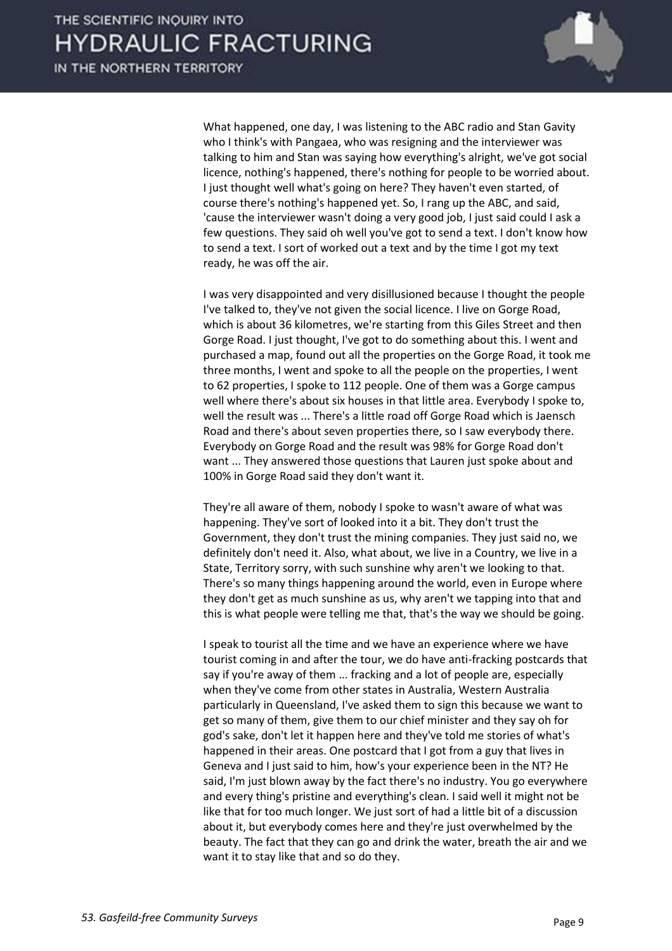

 What happened, one day, I was listening to the ABC radio and Stan Gavity who I think's with Pangaea, who was resigning and the interviewer was talking to him and Stan was saying how everything's alright, we've got social licence, nothing's happened, there's nothing for people to be worried about. I just thought well what's going on here? They haven't even started, of course there's nothing's happened yet. So, I rang up the ABC, and said, 'cause the interviewer wasn't doing a very good job, I just said could I ask a few questions. They said oh well you've got to send a text. I don't know how to send a text. I sort of worked out a text and by the time I got my text ready, he was off the air.

 I was very disappointed and very disillusioned because I thought the people I've talked to, they've not given the social licence. I live on Gorge Road, which is about 36 kilometres, we're starting from this Giles Street and then Gorge Road. I just thought, I've got to do something about this. I went and purchased a map, found out all the properties on the Gorge Road, it took me three months, I went and spoke to all the people on the properties, I went to 62 properties, I spoke to 112 people. One of them was a Gorge campus well where there's about six houses in that little area. Everybody I spoke to, well the result was ... There's a little road off Gorge Road which is Jaensch Road and there's about seven properties there, so I saw everybody there. Everybody on Gorge Road and the result was 98% for Gorge Road don't want ... They answered those questions that Lauren just spoke about and 100% in Gorge Road said they don't want it.

 They're all aware of them, nobody I spoke to wasn't aware of what was happening. They've sort of looked into it a bit. They don't trust the Government, they don't trust the mining companies. They just said no, we definitely don't need it. Also, what about, we live in a Country, we live in a State, Territory sorry, with such sunshine why aren't we looking to that. There's so many things happening around the world, even in Europe where they don't get as much sunshine as us, why aren't we tapping into that and this is what people were telling me that, that's the way we should be going.

 I speak to tourist all the time and we have an experience where we have tourist coming in and after the tour, we do have anti-fracking postcards that say if you're away of them ... fracking and a lot of people are, especially when they've come from other states in Australia, Western Australia particularly in Queensland, I've asked them to sign this because we want to get so many of them, give them to our chief minister and they say oh for god's sake, don't let it happen here and they've told me stories of what's happened in their areas. One postcard that I got from a guy that lives in Geneva and I just said to him, how's your experience been in the NT? He said, I'm just blown away by the fact there's no industry. You go everywhere and every thing's pristine and everything's clean. I said well it might not be like that for too much longer. We just sort of had a little bit of a discussion about it, but everybody comes here and they're just overwhelmed by the beauty. The fact that they can go and drink the water, breath the air and we want it to stay like that and so do they.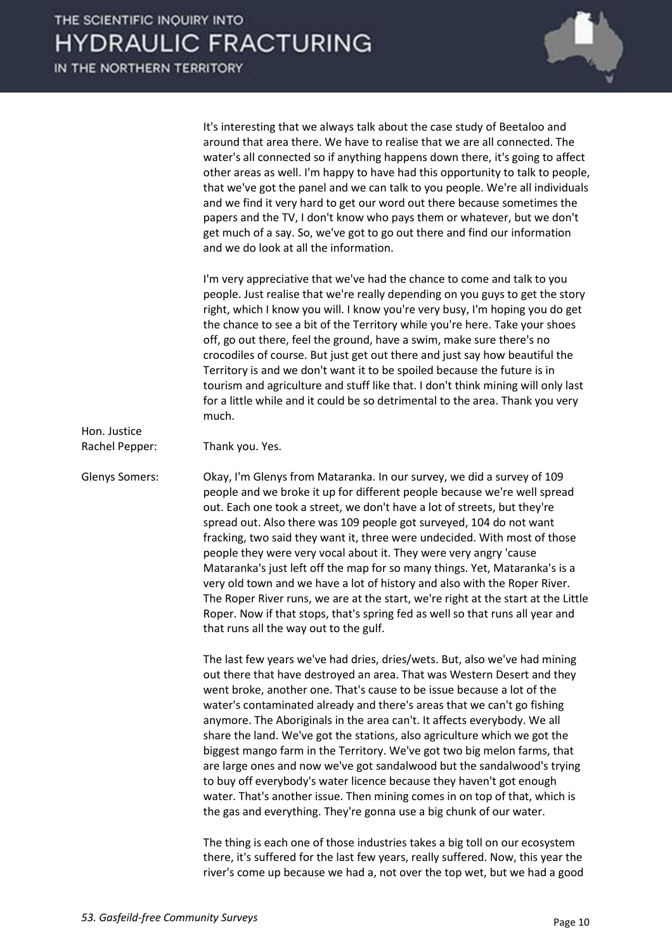

 It's interesting that we always talk about the case study of Beetaloo and around that area there. We have to realise that we are all connected. The water's all connected so if anything happens down there, it's going to affect other areas as well. I'm happy to have had this opportunity to talk to people, that we've got the panel and we can talk to you people. We're all individuals and we find it very hard to get our word out there because sometimes the papers and the TV, I don't know who pays them or whatever, but we don't get much of a say. So, we've got to go out there and find our information and we do look at all the information.

 I'm very appreciative that we've had the chance to come and talk to you people. Just realise that we're really depending on you guys to get the story right, which I know you will. I know you're very busy, I'm hoping you do get the chance to see a bit of the Territory while you're here. Take your shoes off, go out there, feel the ground, have a swim, make sure there's no crocodiles of course. But just get out there and just say how beautiful the Territory is and we don't want it to be spoiled because the future is in tourism and agriculture and stuff like that. I don't think mining will only last for a little while and it could be so detrimental to the area. Thank you very much.

Rachel Pepper: Thank you. Yes.

Hon. Justice

Glenys Somers: Okay, I'm Glenys from Mataranka. In our survey, we did a survey of 109 people and we broke it up for different people because we're well spread out. Each one took a street, we don't have a lot of streets, but they're spread out. Also there was 109 people got surveyed, 104 do not want fracking, two said they want it, three were undecided. With most of those people they were very vocal about it. They were very angry 'cause Mataranka's just left off the map for so many things. Yet, Mataranka's is a very old town and we have a lot of history and also with the Roper River. The Roper River runs, we are at the start, we're right at the start at the Little Roper. Now if that stops, that's spring fed as well so that runs all year and that runs all the way out to the gulf.

> The last few years we've had dries, dries/wets. But, also we've had mining out there that have destroyed an area. That was Western Desert and they went broke, another one. That's cause to be issue because a lot of the water's contaminated already and there's areas that we can't go fishing anymore. The Aboriginals in the area can't. It affects everybody. We all share the land. We've got the stations, also agriculture which we got the biggest mango farm in the Territory. We've got two big melon farms, that are large ones and now we've got sandalwood but the sandalwood's trying to buy off everybody's water licence because they haven't got enough water. That's another issue. Then mining comes in on top of that, which is the gas and everything. They're gonna use a big chunk of our water.

> The thing is each one of those industries takes a big toll on our ecosystem there, it's suffered for the last few years, really suffered. Now, this year the river's come up because we had a, not over the top wet, but we had a good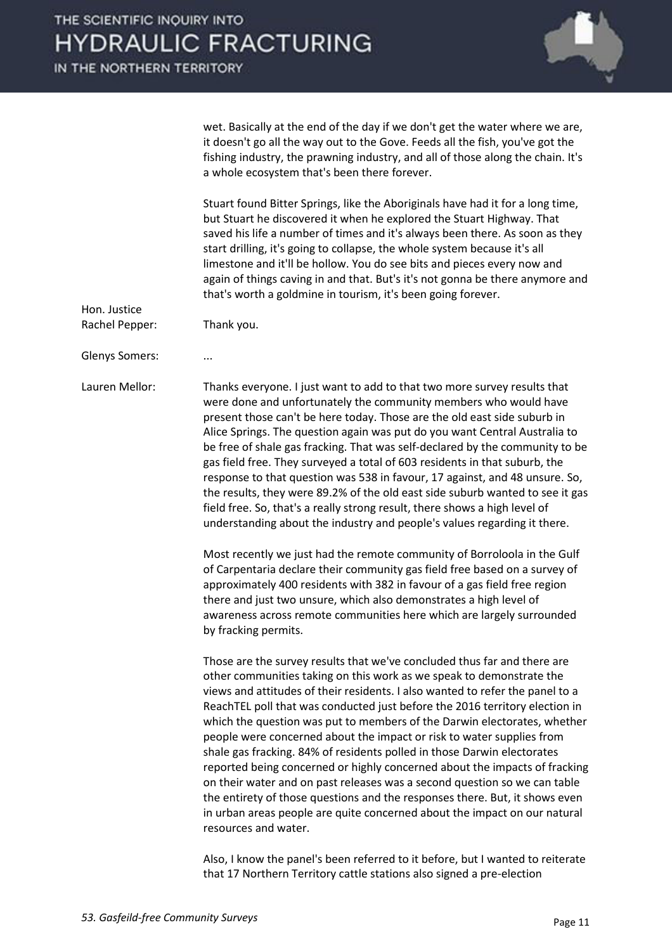IN THE NORTHERN TERRITORY



wet. Basically at the end of the day if we don't get the water where we are, it doesn't go all the way out to the Gove. Feeds all the fish, you've got the fishing industry, the prawning industry, and all of those along the chain. It's a whole ecosystem that's been there forever.

 Stuart found Bitter Springs, like the Aboriginals have had it for a long time, but Stuart he discovered it when he explored the Stuart Highway. That saved his life a number of times and it's always been there. As soon as they start drilling, it's going to collapse, the whole system because it's all limestone and it'll be hollow. You do see bits and pieces every now and again of things caving in and that. But's it's not gonna be there anymore and that's worth a goldmine in tourism, it's been going forever.

Rachel Pepper: Thank you.

Glenys Somers: ...

Hon. Justice

Lauren Mellor: Thanks everyone. I just want to add to that two more survey results that were done and unfortunately the community members who would have present those can't be here today. Those are the old east side suburb in Alice Springs. The question again was put do you want Central Australia to be free of shale gas fracking. That was self-declared by the community to be gas field free. They surveyed a total of 603 residents in that suburb, the response to that question was 538 in favour, 17 against, and 48 unsure. So, the results, they were 89.2% of the old east side suburb wanted to see it gas field free. So, that's a really strong result, there shows a high level of understanding about the industry and people's values regarding it there.

> Most recently we just had the remote community of Borroloola in the Gulf of Carpentaria declare their community gas field free based on a survey of approximately 400 residents with 382 in favour of a gas field free region there and just two unsure, which also demonstrates a high level of awareness across remote communities here which are largely surrounded by fracking permits.

 Those are the survey results that we've concluded thus far and there are other communities taking on this work as we speak to demonstrate the views and attitudes of their residents. I also wanted to refer the panel to a ReachTEL poll that was conducted just before the 2016 territory election in which the question was put to members of the Darwin electorates, whether people were concerned about the impact or risk to water supplies from shale gas fracking. 84% of residents polled in those Darwin electorates reported being concerned or highly concerned about the impacts of fracking on their water and on past releases was a second question so we can table the entirety of those questions and the responses there. But, it shows even in urban areas people are quite concerned about the impact on our natural resources and water.

 Also, I know the panel's been referred to it before, but I wanted to reiterate that 17 Northern Territory cattle stations also signed a pre-election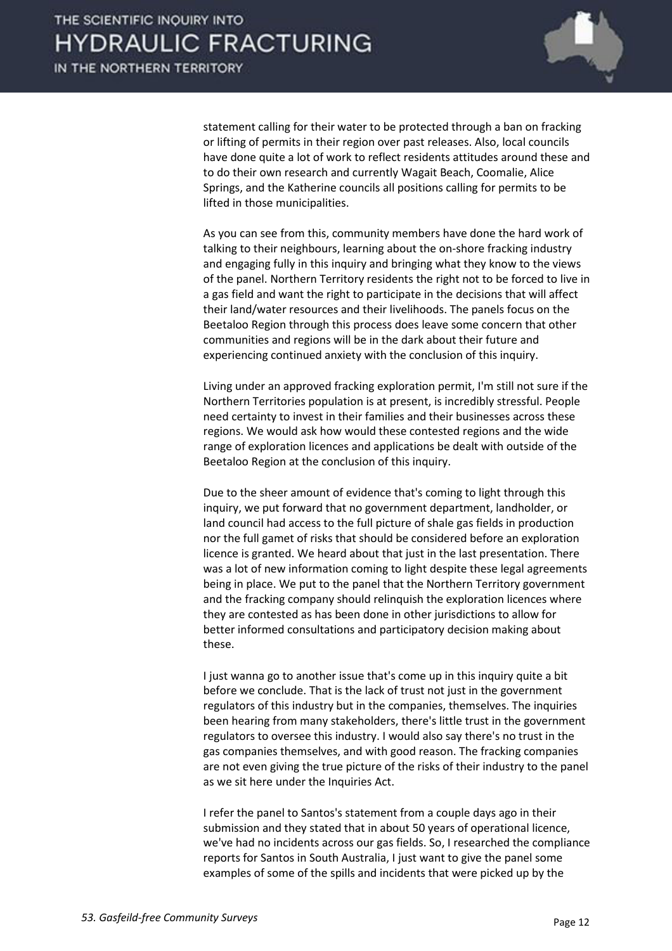

statement calling for their water to be protected through a ban on fracking or lifting of permits in their region over past releases. Also, local councils have done quite a lot of work to reflect residents attitudes around these and to do their own research and currently Wagait Beach, Coomalie, Alice Springs, and the Katherine councils all positions calling for permits to be lifted in those municipalities.

As you can see from this, community members have done the hard work of talking to their neighbours, learning about the on-shore fracking industry and engaging fully in this inquiry and bringing what they know to the views of the panel. Northern Territory residents the right not to be forced to live in a gas field and want the right to participate in the decisions that will affect their land/water resources and their livelihoods. The panels focus on the Beetaloo Region through this process does leave some concern that other communities and regions will be in the dark about their future and experiencing continued anxiety with the conclusion of this inquiry.

 Living under an approved fracking exploration permit, I'm still not sure if the Northern Territories population is at present, is incredibly stressful. People need certainty to invest in their families and their businesses across these regions. We would ask how would these contested regions and the wide range of exploration licences and applications be dealt with outside of the Beetaloo Region at the conclusion of this inquiry.

 Due to the sheer amount of evidence that's coming to light through this inquiry, we put forward that no government department, landholder, or land council had access to the full picture of shale gas fields in production nor the full gamet of risks that should be considered before an exploration licence is granted. We heard about that just in the last presentation. There was a lot of new information coming to light despite these legal agreements being in place. We put to the panel that the Northern Territory government and the fracking company should relinquish the exploration licences where they are contested as has been done in other jurisdictions to allow for better informed consultations and participatory decision making about these.

 I just wanna go to another issue that's come up in this inquiry quite a bit before we conclude. That is the lack of trust not just in the government regulators of this industry but in the companies, themselves. The inquiries been hearing from many stakeholders, there's little trust in the government regulators to oversee this industry. I would also say there's no trust in the gas companies themselves, and with good reason. The fracking companies are not even giving the true picture of the risks of their industry to the panel as we sit here under the Inquiries Act.

 I refer the panel to Santos's statement from a couple days ago in their submission and they stated that in about 50 years of operational licence, we've had no incidents across our gas fields. So, I researched the compliance reports for Santos in South Australia, I just want to give the panel some examples of some of the spills and incidents that were picked up by the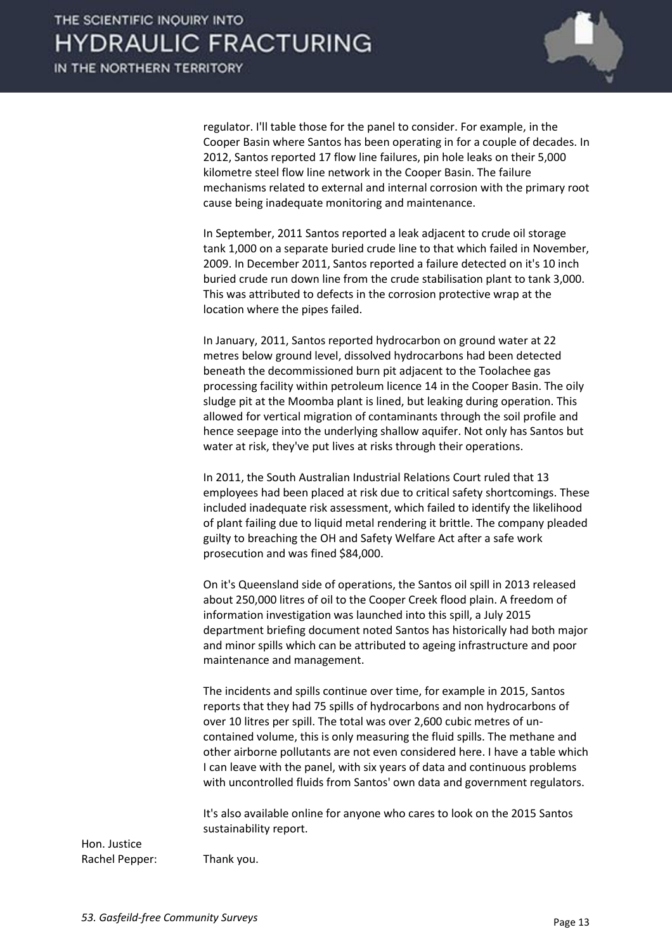

regulator. I'll table those for the panel to consider. For example, in the Cooper Basin where Santos has been operating in for a couple of decades. In 2012, Santos reported 17 flow line failures, pin hole leaks on their 5,000 kilometre steel flow line network in the Cooper Basin. The failure mechanisms related to external and internal corrosion with the primary root cause being inadequate monitoring and maintenance.

 In September, 2011 Santos reported a leak adjacent to crude oil storage tank 1,000 on a separate buried crude line to that which failed in November, 2009. In December 2011, Santos reported a failure detected on it's 10 inch buried crude run down line from the crude stabilisation plant to tank 3,000. This was attributed to defects in the corrosion protective wrap at the location where the pipes failed.

 In January, 2011, Santos reported hydrocarbon on ground water at 22 metres below ground level, dissolved hydrocarbons had been detected beneath the decommissioned burn pit adjacent to the Toolachee gas processing facility within petroleum licence 14 in the Cooper Basin. The oily sludge pit at the Moomba plant is lined, but leaking during operation. This allowed for vertical migration of contaminants through the soil profile and hence seepage into the underlying shallow aquifer. Not only has Santos but water at risk, they've put lives at risks through their operations.

 In 2011, the South Australian Industrial Relations Court ruled that 13 employees had been placed at risk due to critical safety shortcomings. These included inadequate risk assessment, which failed to identify the likelihood of plant failing due to liquid metal rendering it brittle. The company pleaded guilty to breaching the OH and Safety Welfare Act after a safe work prosecution and was fined \$84,000.

 On it's Queensland side of operations, the Santos oil spill in 2013 released about 250,000 litres of oil to the Cooper Creek flood plain. A freedom of information investigation was launched into this spill, a July 2015 department briefing document noted Santos has historically had both major and minor spills which can be attributed to ageing infrastructure and poor maintenance and management.

 The incidents and spills continue over time, for example in 2015, Santos reports that they had 75 spills of hydrocarbons and non hydrocarbons of over 10 litres per spill. The total was over 2,600 cubic metres of uncontained volume, this is only measuring the fluid spills. The methane and other airborne pollutants are not even considered here. I have a table which I can leave with the panel, with six years of data and continuous problems with uncontrolled fluids from Santos' own data and government regulators.

 It's also available online for anyone who cares to look on the 2015 Santos sustainability report.

Hon. Justice Rachel Pepper: Thank you.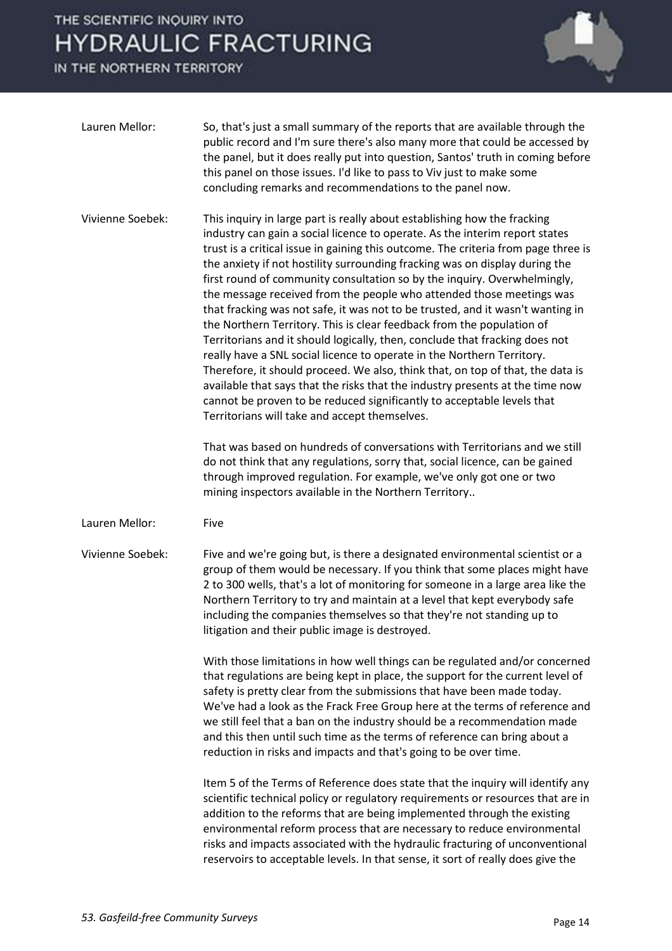

| Lauren Mellor:   | So, that's just a small summary of the reports that are available through the<br>public record and I'm sure there's also many more that could be accessed by<br>the panel, but it does really put into question, Santos' truth in coming before<br>this panel on those issues. I'd like to pass to Viv just to make some<br>concluding remarks and recommendations to the panel now.                                                                                                                                                                                                                                                                                                                                                                                                                                                                                                                                                                                                                                                                                                               |
|------------------|----------------------------------------------------------------------------------------------------------------------------------------------------------------------------------------------------------------------------------------------------------------------------------------------------------------------------------------------------------------------------------------------------------------------------------------------------------------------------------------------------------------------------------------------------------------------------------------------------------------------------------------------------------------------------------------------------------------------------------------------------------------------------------------------------------------------------------------------------------------------------------------------------------------------------------------------------------------------------------------------------------------------------------------------------------------------------------------------------|
| Vivienne Soebek: | This inquiry in large part is really about establishing how the fracking<br>industry can gain a social licence to operate. As the interim report states<br>trust is a critical issue in gaining this outcome. The criteria from page three is<br>the anxiety if not hostility surrounding fracking was on display during the<br>first round of community consultation so by the inquiry. Overwhelmingly,<br>the message received from the people who attended those meetings was<br>that fracking was not safe, it was not to be trusted, and it wasn't wanting in<br>the Northern Territory. This is clear feedback from the population of<br>Territorians and it should logically, then, conclude that fracking does not<br>really have a SNL social licence to operate in the Northern Territory.<br>Therefore, it should proceed. We also, think that, on top of that, the data is<br>available that says that the risks that the industry presents at the time now<br>cannot be proven to be reduced significantly to acceptable levels that<br>Territorians will take and accept themselves. |
|                  | That was based on hundreds of conversations with Territorians and we still<br>do not think that any regulations, sorry that, social licence, can be gained<br>through improved regulation. For example, we've only got one or two<br>mining inspectors available in the Northern Territory                                                                                                                                                                                                                                                                                                                                                                                                                                                                                                                                                                                                                                                                                                                                                                                                         |
| Lauren Mellor:   | Five                                                                                                                                                                                                                                                                                                                                                                                                                                                                                                                                                                                                                                                                                                                                                                                                                                                                                                                                                                                                                                                                                               |
| Vivienne Soebek: | Five and we're going but, is there a designated environmental scientist or a<br>group of them would be necessary. If you think that some places might have<br>2 to 300 wells, that's a lot of monitoring for someone in a large area like the<br>Northern Territory to try and maintain at a level that kept everybody safe<br>including the companies themselves so that they're not standing up to<br>litigation and their public image is destroyed.                                                                                                                                                                                                                                                                                                                                                                                                                                                                                                                                                                                                                                            |
|                  | With those limitations in how well things can be regulated and/or concerned<br>that regulations are being kept in place, the support for the current level of<br>safety is pretty clear from the submissions that have been made today.<br>We've had a look as the Frack Free Group here at the terms of reference and<br>we still feel that a ban on the industry should be a recommendation made<br>and this then until such time as the terms of reference can bring about a<br>reduction in risks and impacts and that's going to be over time.                                                                                                                                                                                                                                                                                                                                                                                                                                                                                                                                                |
|                  | Item 5 of the Terms of Reference does state that the inquiry will identify any<br>scientific technical policy or regulatory requirements or resources that are in<br>addition to the reforms that are being implemented through the existing<br>environmental reform process that are necessary to reduce environmental<br>risks and impacts associated with the hydraulic fracturing of unconventional<br>reservoirs to acceptable levels. In that sense, it sort of really does give the                                                                                                                                                                                                                                                                                                                                                                                                                                                                                                                                                                                                         |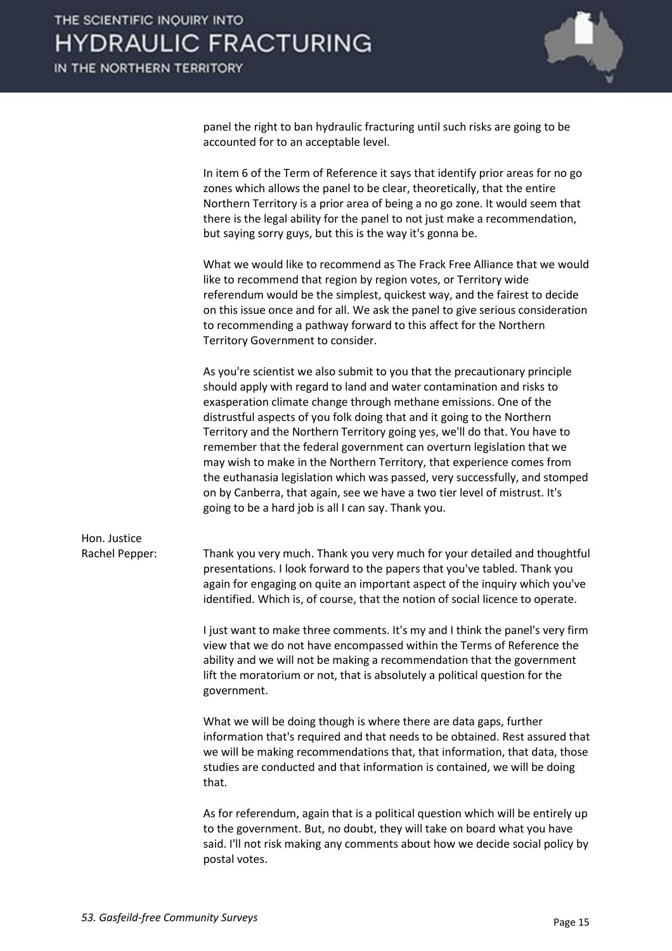

panel the right to ban hydraulic fracturing until such risks are going to be accounted for to an acceptable level.

 In item 6 of the Term of Reference it says that identify prior areas for no go zones which allows the panel to be clear, theoretically, that the entire Northern Territory is a prior area of being a no go zone. It would seem that there is the legal ability for the panel to not just make a recommendation, but saying sorry guys, but this is the way it's gonna be.

 What we would like to recommend as The Frack Free Alliance that we would like to recommend that region by region votes, or Territory wide referendum would be the simplest, quickest way, and the fairest to decide on this issue once and for all. We ask the panel to give serious consideration to recommending a pathway forward to this affect for the Northern Territory Government to consider.

 As you're scientist we also submit to you that the precautionary principle should apply with regard to land and water contamination and risks to exasperation climate change through methane emissions. One of the distrustful aspects of you folk doing that and it going to the Northern Territory and the Northern Territory going yes, we'll do that. You have to remember that the federal government can overturn legislation that we may wish to make in the Northern Territory, that experience comes from the euthanasia legislation which was passed, very successfully, and stomped on by Canberra, that again, see we have a two tier level of mistrust. It's going to be a hard job is all I can say. Thank you.

Hon. Justice

Rachel Pepper: Thank you very much. Thank you very much for your detailed and thoughtful presentations. I look forward to the papers that you've tabled. Thank you again for engaging on quite an important aspect of the inquiry which you've identified. Which is, of course, that the notion of social licence to operate.

> I just want to make three comments. It's my and I think the panel's very firm view that we do not have encompassed within the Terms of Reference the ability and we will not be making a recommendation that the government lift the moratorium or not, that is absolutely a political question for the government.

> What we will be doing though is where there are data gaps, further information that's required and that needs to be obtained. Rest assured that we will be making recommendations that, that information, that data, those studies are conducted and that information is contained, we will be doing that.

> As for referendum, again that is a political question which will be entirely up to the government. But, no doubt, they will take on board what you have said. I'll not risk making any comments about how we decide social policy by postal votes.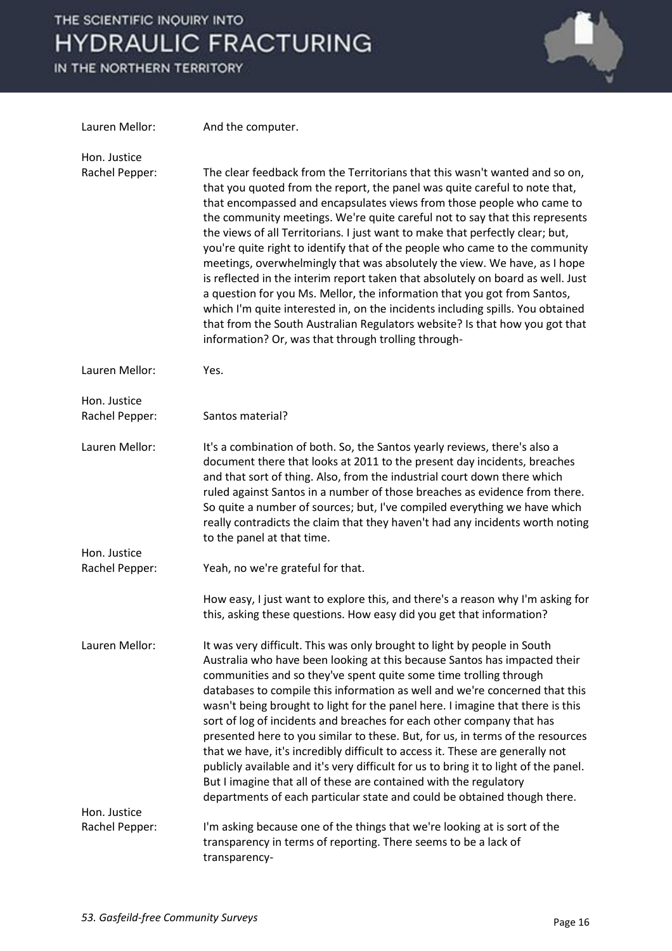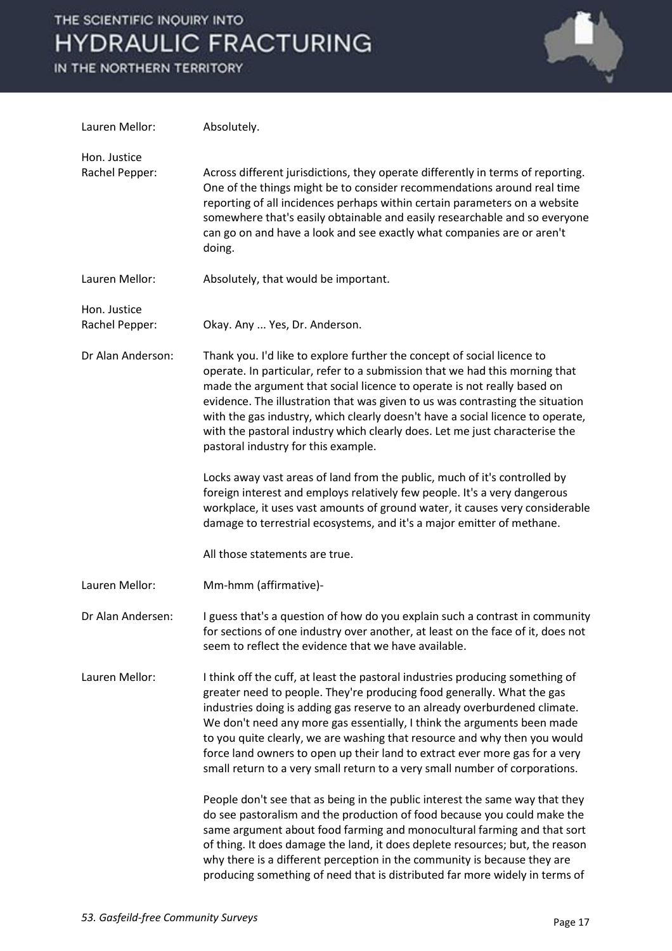

| Lauren Mellor:                 | Absolutely.                                                                                                                                                                                                                                                                                                                                                                                                                                                                                                                                                 |
|--------------------------------|-------------------------------------------------------------------------------------------------------------------------------------------------------------------------------------------------------------------------------------------------------------------------------------------------------------------------------------------------------------------------------------------------------------------------------------------------------------------------------------------------------------------------------------------------------------|
| Hon. Justice<br>Rachel Pepper: | Across different jurisdictions, they operate differently in terms of reporting.<br>One of the things might be to consider recommendations around real time<br>reporting of all incidences perhaps within certain parameters on a website<br>somewhere that's easily obtainable and easily researchable and so everyone<br>can go on and have a look and see exactly what companies are or aren't<br>doing.                                                                                                                                                  |
| Lauren Mellor:                 | Absolutely, that would be important.                                                                                                                                                                                                                                                                                                                                                                                                                                                                                                                        |
| Hon. Justice<br>Rachel Pepper: | Okay. Any  Yes, Dr. Anderson.                                                                                                                                                                                                                                                                                                                                                                                                                                                                                                                               |
| Dr Alan Anderson:              | Thank you. I'd like to explore further the concept of social licence to<br>operate. In particular, refer to a submission that we had this morning that<br>made the argument that social licence to operate is not really based on<br>evidence. The illustration that was given to us was contrasting the situation<br>with the gas industry, which clearly doesn't have a social licence to operate,<br>with the pastoral industry which clearly does. Let me just characterise the<br>pastoral industry for this example.                                  |
|                                | Locks away vast areas of land from the public, much of it's controlled by<br>foreign interest and employs relatively few people. It's a very dangerous<br>workplace, it uses vast amounts of ground water, it causes very considerable<br>damage to terrestrial ecosystems, and it's a major emitter of methane.                                                                                                                                                                                                                                            |
|                                | All those statements are true.                                                                                                                                                                                                                                                                                                                                                                                                                                                                                                                              |
| Lauren Mellor:                 | Mm-hmm (affirmative)-                                                                                                                                                                                                                                                                                                                                                                                                                                                                                                                                       |
| Dr Alan Andersen:              | I guess that's a question of how do you explain such a contrast in community<br>for sections of one industry over another, at least on the face of it, does not<br>seem to reflect the evidence that we have available.                                                                                                                                                                                                                                                                                                                                     |
| Lauren Mellor:                 | I think off the cuff, at least the pastoral industries producing something of<br>greater need to people. They're producing food generally. What the gas<br>industries doing is adding gas reserve to an already overburdened climate.<br>We don't need any more gas essentially, I think the arguments been made<br>to you quite clearly, we are washing that resource and why then you would<br>force land owners to open up their land to extract ever more gas for a very<br>small return to a very small return to a very small number of corporations. |
|                                | People don't see that as being in the public interest the same way that they<br>do see pastoralism and the production of food because you could make the<br>same argument about food farming and monocultural farming and that sort<br>of thing. It does damage the land, it does deplete resources; but, the reason<br>why there is a different perception in the community is because they are<br>producing something of need that is distributed far more widely in terms of                                                                             |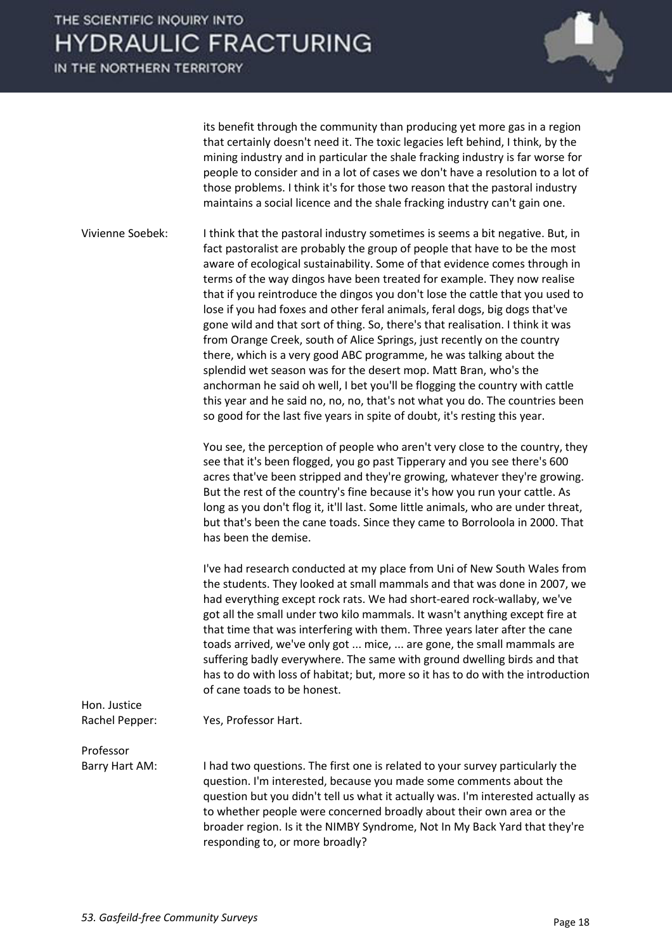IN THE NORTHERN TERRITORY



its benefit through the community than producing yet more gas in a region that certainly doesn't need it. The toxic legacies left behind, I think, by the mining industry and in particular the shale fracking industry is far worse for people to consider and in a lot of cases we don't have a resolution to a lot of those problems. I think it's for those two reason that the pastoral industry maintains a social licence and the shale fracking industry can't gain one.

Vivienne Soebek: I think that the pastoral industry sometimes is seems a bit negative. But, in fact pastoralist are probably the group of people that have to be the most aware of ecological sustainability. Some of that evidence comes through in terms of the way dingos have been treated for example. They now realise that if you reintroduce the dingos you don't lose the cattle that you used to lose if you had foxes and other feral animals, feral dogs, big dogs that've gone wild and that sort of thing. So, there's that realisation. I think it was from Orange Creek, south of Alice Springs, just recently on the country there, which is a very good ABC programme, he was talking about the splendid wet season was for the desert mop. Matt Bran, who's the anchorman he said oh well, I bet you'll be flogging the country with cattle this year and he said no, no, no, that's not what you do. The countries been so good for the last five years in spite of doubt, it's resting this year.

> You see, the perception of people who aren't very close to the country, they see that it's been flogged, you go past Tipperary and you see there's 600 acres that've been stripped and they're growing, whatever they're growing. But the rest of the country's fine because it's how you run your cattle. As long as you don't flog it, it'll last. Some little animals, who are under threat, but that's been the cane toads. Since they came to Borroloola in 2000. That has been the demise.

> I've had research conducted at my place from Uni of New South Wales from the students. They looked at small mammals and that was done in 2007, we had everything except rock rats. We had short-eared rock-wallaby, we've got all the small under two kilo mammals. It wasn't anything except fire at that time that was interfering with them. Three years later after the cane toads arrived, we've only got ... mice, ... are gone, the small mammals are suffering badly everywhere. The same with ground dwelling birds and that has to do with loss of habitat; but, more so it has to do with the introduction of cane toads to be honest.

### Hon. Justice

Rachel Pepper: Yes, Professor Hart.

#### Professor

Barry Hart AM: I had two questions. The first one is related to your survey particularly the question. I'm interested, because you made some comments about the question but you didn't tell us what it actually was. I'm interested actually as to whether people were concerned broadly about their own area or the broader region. Is it the NIMBY Syndrome, Not In My Back Yard that they're responding to, or more broadly?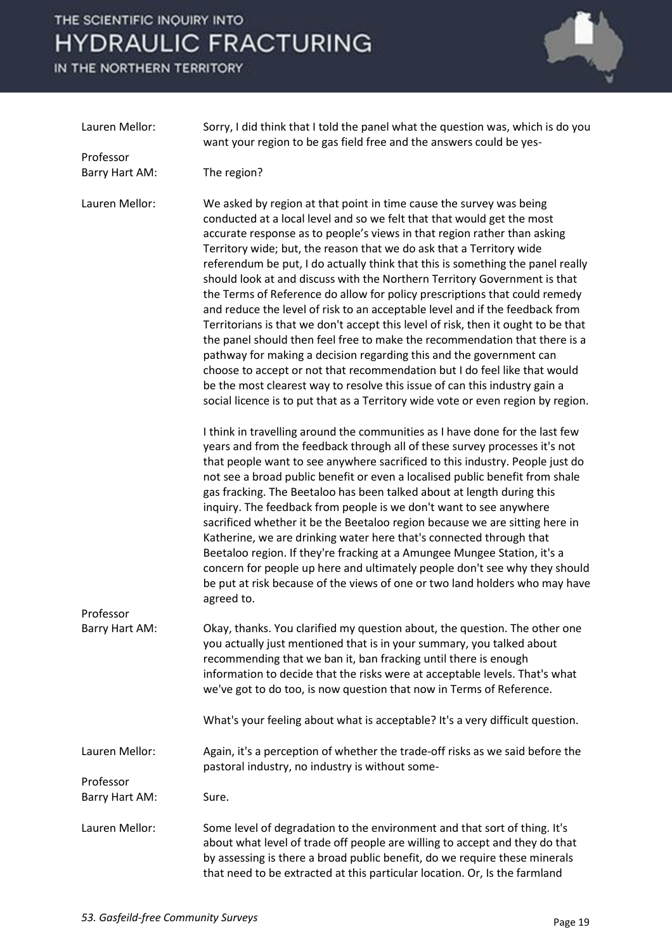

| Lauren Mellor:              | Sorry, I did think that I told the panel what the question was, which is do you<br>want your region to be gas field free and the answers could be yes-                                                                                                                                                                                                                                                                                                                                                                                                                                                                                                                                                                                                                                                                                                                                                                                                                                                                                                                                                                  |
|-----------------------------|-------------------------------------------------------------------------------------------------------------------------------------------------------------------------------------------------------------------------------------------------------------------------------------------------------------------------------------------------------------------------------------------------------------------------------------------------------------------------------------------------------------------------------------------------------------------------------------------------------------------------------------------------------------------------------------------------------------------------------------------------------------------------------------------------------------------------------------------------------------------------------------------------------------------------------------------------------------------------------------------------------------------------------------------------------------------------------------------------------------------------|
| Professor                   |                                                                                                                                                                                                                                                                                                                                                                                                                                                                                                                                                                                                                                                                                                                                                                                                                                                                                                                                                                                                                                                                                                                         |
| Barry Hart AM:              | The region?                                                                                                                                                                                                                                                                                                                                                                                                                                                                                                                                                                                                                                                                                                                                                                                                                                                                                                                                                                                                                                                                                                             |
| Lauren Mellor:              | We asked by region at that point in time cause the survey was being<br>conducted at a local level and so we felt that that would get the most<br>accurate response as to people's views in that region rather than asking<br>Territory wide; but, the reason that we do ask that a Territory wide<br>referendum be put, I do actually think that this is something the panel really<br>should look at and discuss with the Northern Territory Government is that<br>the Terms of Reference do allow for policy prescriptions that could remedy<br>and reduce the level of risk to an acceptable level and if the feedback from<br>Territorians is that we don't accept this level of risk, then it ought to be that<br>the panel should then feel free to make the recommendation that there is a<br>pathway for making a decision regarding this and the government can<br>choose to accept or not that recommendation but I do feel like that would<br>be the most clearest way to resolve this issue of can this industry gain a<br>social licence is to put that as a Territory wide vote or even region by region. |
|                             | I think in travelling around the communities as I have done for the last few<br>years and from the feedback through all of these survey processes it's not<br>that people want to see anywhere sacrificed to this industry. People just do<br>not see a broad public benefit or even a localised public benefit from shale<br>gas fracking. The Beetaloo has been talked about at length during this<br>inquiry. The feedback from people is we don't want to see anywhere<br>sacrificed whether it be the Beetaloo region because we are sitting here in<br>Katherine, we are drinking water here that's connected through that<br>Beetaloo region. If they're fracking at a Amungee Mungee Station, it's a<br>concern for people up here and ultimately people don't see why they should<br>be put at risk because of the views of one or two land holders who may have<br>agreed to.                                                                                                                                                                                                                                 |
| Professor<br>Barry Hart AM: | Okay, thanks. You clarified my question about, the question. The other one<br>you actually just mentioned that is in your summary, you talked about<br>recommending that we ban it, ban fracking until there is enough<br>information to decide that the risks were at acceptable levels. That's what<br>we've got to do too, is now question that now in Terms of Reference.<br>What's your feeling about what is acceptable? It's a very difficult question.                                                                                                                                                                                                                                                                                                                                                                                                                                                                                                                                                                                                                                                          |
| Lauren Mellor:              | Again, it's a perception of whether the trade-off risks as we said before the<br>pastoral industry, no industry is without some-                                                                                                                                                                                                                                                                                                                                                                                                                                                                                                                                                                                                                                                                                                                                                                                                                                                                                                                                                                                        |
| Professor<br>Barry Hart AM: | Sure.                                                                                                                                                                                                                                                                                                                                                                                                                                                                                                                                                                                                                                                                                                                                                                                                                                                                                                                                                                                                                                                                                                                   |
| Lauren Mellor:              | Some level of degradation to the environment and that sort of thing. It's<br>about what level of trade off people are willing to accept and they do that<br>by assessing is there a broad public benefit, do we require these minerals<br>that need to be extracted at this particular location. Or, Is the farmland                                                                                                                                                                                                                                                                                                                                                                                                                                                                                                                                                                                                                                                                                                                                                                                                    |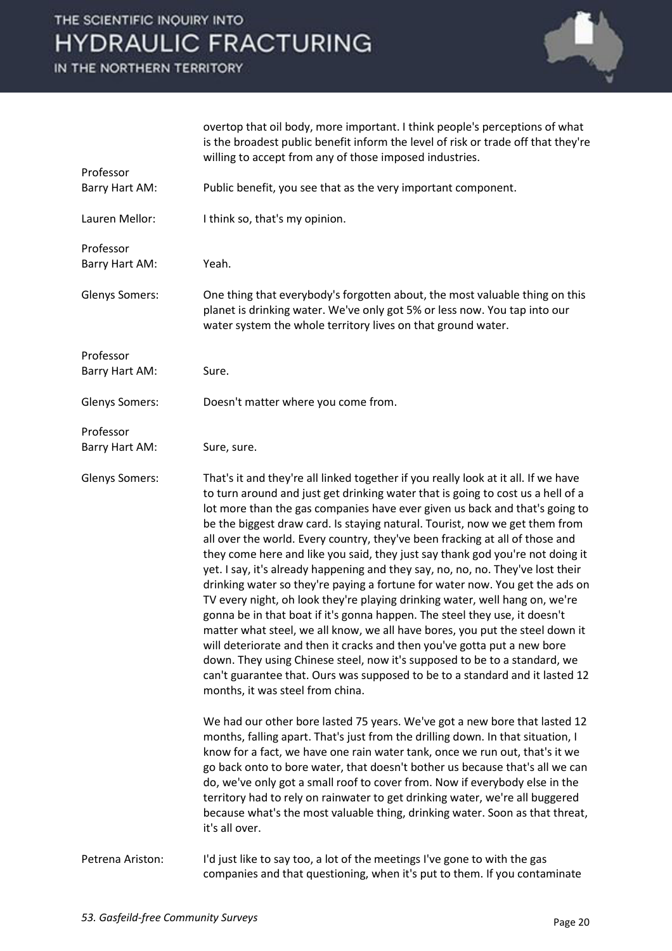

|                       | overtop that oil body, more important. I think people's perceptions of what<br>is the broadest public benefit inform the level of risk or trade off that they're<br>willing to accept from any of those imposed industries.                                                                                                                                                                                                                                                                                                                                                                                                                                                                                                                                                                                                                                                                                                                                                                                                                                                                                                                                                                       |
|-----------------------|---------------------------------------------------------------------------------------------------------------------------------------------------------------------------------------------------------------------------------------------------------------------------------------------------------------------------------------------------------------------------------------------------------------------------------------------------------------------------------------------------------------------------------------------------------------------------------------------------------------------------------------------------------------------------------------------------------------------------------------------------------------------------------------------------------------------------------------------------------------------------------------------------------------------------------------------------------------------------------------------------------------------------------------------------------------------------------------------------------------------------------------------------------------------------------------------------|
| Professor             |                                                                                                                                                                                                                                                                                                                                                                                                                                                                                                                                                                                                                                                                                                                                                                                                                                                                                                                                                                                                                                                                                                                                                                                                   |
| Barry Hart AM:        | Public benefit, you see that as the very important component.                                                                                                                                                                                                                                                                                                                                                                                                                                                                                                                                                                                                                                                                                                                                                                                                                                                                                                                                                                                                                                                                                                                                     |
| Lauren Mellor:        | I think so, that's my opinion.                                                                                                                                                                                                                                                                                                                                                                                                                                                                                                                                                                                                                                                                                                                                                                                                                                                                                                                                                                                                                                                                                                                                                                    |
| Professor             |                                                                                                                                                                                                                                                                                                                                                                                                                                                                                                                                                                                                                                                                                                                                                                                                                                                                                                                                                                                                                                                                                                                                                                                                   |
| Barry Hart AM:        | Yeah.                                                                                                                                                                                                                                                                                                                                                                                                                                                                                                                                                                                                                                                                                                                                                                                                                                                                                                                                                                                                                                                                                                                                                                                             |
| <b>Glenys Somers:</b> | One thing that everybody's forgotten about, the most valuable thing on this<br>planet is drinking water. We've only got 5% or less now. You tap into our<br>water system the whole territory lives on that ground water.                                                                                                                                                                                                                                                                                                                                                                                                                                                                                                                                                                                                                                                                                                                                                                                                                                                                                                                                                                          |
| Professor             |                                                                                                                                                                                                                                                                                                                                                                                                                                                                                                                                                                                                                                                                                                                                                                                                                                                                                                                                                                                                                                                                                                                                                                                                   |
| Barry Hart AM:        | Sure.                                                                                                                                                                                                                                                                                                                                                                                                                                                                                                                                                                                                                                                                                                                                                                                                                                                                                                                                                                                                                                                                                                                                                                                             |
| <b>Glenys Somers:</b> | Doesn't matter where you come from.                                                                                                                                                                                                                                                                                                                                                                                                                                                                                                                                                                                                                                                                                                                                                                                                                                                                                                                                                                                                                                                                                                                                                               |
| Professor             |                                                                                                                                                                                                                                                                                                                                                                                                                                                                                                                                                                                                                                                                                                                                                                                                                                                                                                                                                                                                                                                                                                                                                                                                   |
| Barry Hart AM:        | Sure, sure.                                                                                                                                                                                                                                                                                                                                                                                                                                                                                                                                                                                                                                                                                                                                                                                                                                                                                                                                                                                                                                                                                                                                                                                       |
| <b>Glenys Somers:</b> | That's it and they're all linked together if you really look at it all. If we have<br>to turn around and just get drinking water that is going to cost us a hell of a<br>lot more than the gas companies have ever given us back and that's going to<br>be the biggest draw card. Is staying natural. Tourist, now we get them from<br>all over the world. Every country, they've been fracking at all of those and<br>they come here and like you said, they just say thank god you're not doing it<br>yet. I say, it's already happening and they say, no, no, no. They've lost their<br>drinking water so they're paying a fortune for water now. You get the ads on<br>TV every night, oh look they're playing drinking water, well hang on, we're<br>gonna be in that boat if it's gonna happen. The steel they use, it doesn't<br>matter what steel, we all know, we all have bores, you put the steel down it<br>will deteriorate and then it cracks and then you've gotta put a new bore<br>down. They using Chinese steel, now it's supposed to be to a standard, we<br>can't guarantee that. Ours was supposed to be to a standard and it lasted 12<br>months, it was steel from china. |
|                       | We had our other bore lasted 75 years. We've got a new bore that lasted 12<br>months, falling apart. That's just from the drilling down. In that situation, I<br>know for a fact, we have one rain water tank, once we run out, that's it we<br>go back onto to bore water, that doesn't bother us because that's all we can<br>do, we've only got a small roof to cover from. Now if everybody else in the<br>territory had to rely on rainwater to get drinking water, we're all buggered<br>because what's the most valuable thing, drinking water. Soon as that threat,<br>it's all over.                                                                                                                                                                                                                                                                                                                                                                                                                                                                                                                                                                                                     |
| Petrena Ariston:      | I'd just like to say too, a lot of the meetings I've gone to with the gas<br>companies and that questioning, when it's put to them. If you contaminate                                                                                                                                                                                                                                                                                                                                                                                                                                                                                                                                                                                                                                                                                                                                                                                                                                                                                                                                                                                                                                            |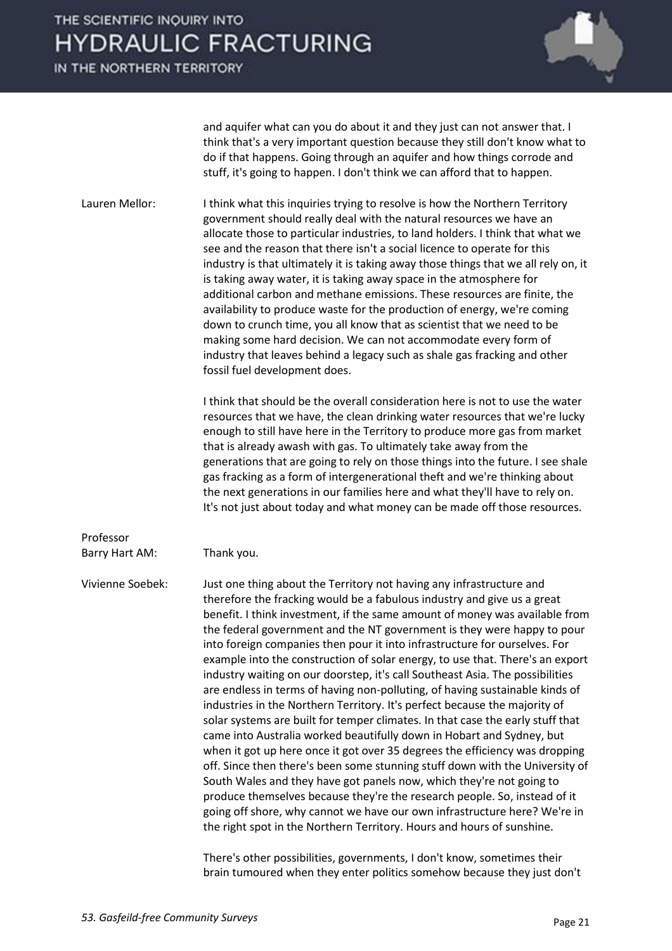IN THE NORTHERN TERRITORY



and aquifer what can you do about it and they just can not answer that. I think that's a very important question because they still don't know what to do if that happens. Going through an aquifer and how things corrode and stuff, it's going to happen. I don't think we can afford that to happen.

Lauren Mellor: I think what this inquiries trying to resolve is how the Northern Territory government should really deal with the natural resources we have an allocate those to particular industries, to land holders. I think that what we see and the reason that there isn't a social licence to operate for this industry is that ultimately it is taking away those things that we all rely on, it is taking away water, it is taking away space in the atmosphere for additional carbon and methane emissions. These resources are finite, the availability to produce waste for the production of energy, we're coming down to crunch time, you all know that as scientist that we need to be making some hard decision. We can not accommodate every form of industry that leaves behind a legacy such as shale gas fracking and other fossil fuel development does.

> I think that should be the overall consideration here is not to use the water resources that we have, the clean drinking water resources that we're lucky enough to still have here in the Territory to produce more gas from market that is already awash with gas. To ultimately take away from the generations that are going to rely on those things into the future. I see shale gas fracking as a form of intergenerational theft and we're thinking about the next generations in our families here and what they'll have to rely on. It's not just about today and what money can be made off those resources.

#### Professor

Barry Hart AM: Thank you.

Vivienne Soebek: Just one thing about the Territory not having any infrastructure and therefore the fracking would be a fabulous industry and give us a great benefit. I think investment, if the same amount of money was available from the federal government and the NT government is they were happy to pour into foreign companies then pour it into infrastructure for ourselves. For example into the construction of solar energy, to use that. There's an export industry waiting on our doorstep, it's call Southeast Asia. The possibilities are endless in terms of having non-polluting, of having sustainable kinds of industries in the Northern Territory. It's perfect because the majority of solar systems are built for temper climates. In that case the early stuff that came into Australia worked beautifully down in Hobart and Sydney, but when it got up here once it got over 35 degrees the efficiency was dropping off. Since then there's been some stunning stuff down with the University of South Wales and they have got panels now, which they're not going to produce themselves because they're the research people. So, instead of it going off shore, why cannot we have our own infrastructure here? We're in the right spot in the Northern Territory. Hours and hours of sunshine.

> There's other possibilities, governments, I don't know, sometimes their brain tumoured when they enter politics somehow because they just don't